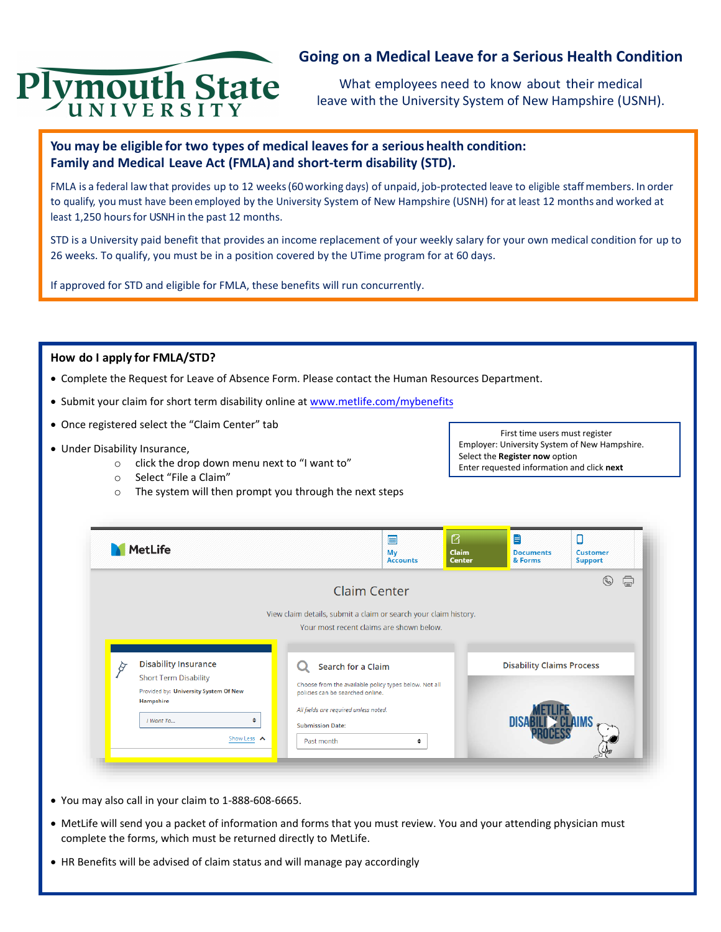

# **Going on a Medical Leave for a Serious Health Condition**

What employees need to know about their medical leave with the University System of New Hampshire (USNH).

# **You may be eligible for two types of medical leaves for a serious health condition: Family and Medical Leave Act (FMLA) and short-term disability (STD).**

FMLA is a federal law that provides up to 12 weeks (60working days) of unpaid, job-protected leave to eligible staff members. In order to qualify, you must have been employed by the University System of New Hampshire (USNH) for at least 12 months and worked at least 1,250 hours for USNH in the past 12 months.

STD is a University paid benefit that provides an income replacement of your weekly salary for your own medical condition for up to 26 weeks. To qualify, you must be in a position covered by the UTime program for at 60 days.

If approved for STD and eligible for FMLA, these benefits will run concurrently.

### **How do I apply for FMLA/STD?**

- Complete the Request for Leave of Absence Form. Please contact [the Human Resources Department.](http://www.unh.edu/hr/leave-of-absence)
- Submit your claim for short term disability online at [www.metlife.com/mybenefits](http://www.metlife.com/mybenefits)
- Once registered select the "Claim Center" tab
- Under Disability Insurance,
	- o click the drop down menu next to "I want to"
	- o Select "File a Claim"
	- o The system will then prompt you through the next steps

First time users must register Employer: University System of New Hampshire. Select the **Register now** option Enter requested information and click **next**

| <b>MetLife</b>                                                                                                                                     |                                                                                                                                                                                                   | ē<br>My<br><b>Accounts</b> | $\boldsymbol{\mathcal{B}}$<br><b>Claim</b><br><b>Center</b> | B<br><b>Documents</b><br>& Forms | О<br>Customer<br><b>Support</b> |
|----------------------------------------------------------------------------------------------------------------------------------------------------|---------------------------------------------------------------------------------------------------------------------------------------------------------------------------------------------------|----------------------------|-------------------------------------------------------------|----------------------------------|---------------------------------|
|                                                                                                                                                    | <b>Claim Center</b><br>View claim details, submit a claim or search your claim history.<br>Your most recent claims are shown below.                                                               |                            |                                                             |                                  | 급<br>(C)                        |
| <b>Disability Insurance</b><br><b>Short Term Disability</b><br>Provided by: University System Of New<br>Hampshire<br>I Want To<br>٠<br>Show Less A | Search for a Claim<br>Choose from the available policy types below. Not all<br>policies can be searched online.<br>All fields are required unless noted.<br><b>Submission Date:</b><br>Past month | ÷                          |                                                             | <b>Disability Claims Process</b> |                                 |

- You may also call in your claim to 1-888-608-6665.
- MetLife will send you a packet of information and forms that you must review. You and your attending physician must complete the forms, which must be returned directly to MetLife.
- HR Benefits will be advised of claim status and will manage pay accordingly